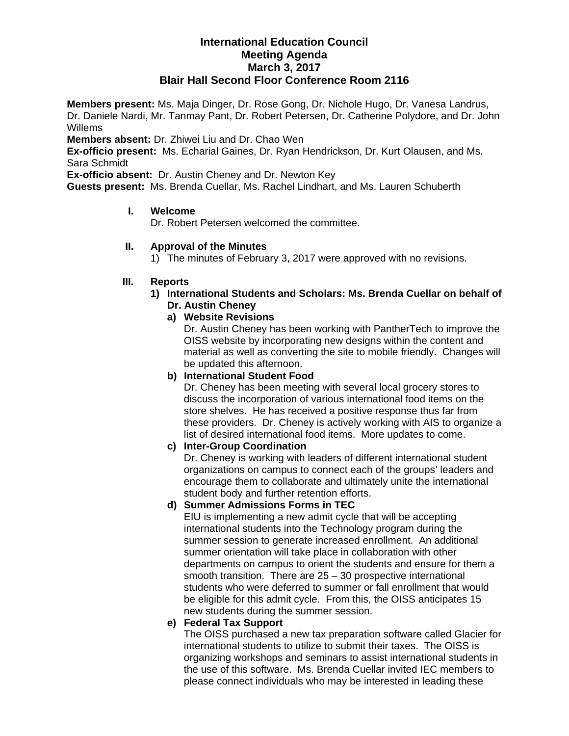### **International Education Council Meeting Agenda March 3, 2017 Blair Hall Second Floor Conference Room 2116**

**Members present:** Ms. Maja Dinger, Dr. Rose Gong, Dr. Nichole Hugo, Dr. Vanesa Landrus, Dr. Daniele Nardi, Mr. Tanmay Pant, Dr. Robert Petersen, Dr. Catherine Polydore, and Dr. John Willems

**Members absent:** Dr. Zhiwei Liu and Dr. Chao Wen

**Ex-officio present:** Ms. Echarial Gaines, Dr. Ryan Hendrickson, Dr. Kurt Olausen, and Ms. Sara Schmidt

**Ex-officio absent:** Dr. Austin Cheney and Dr. Newton Key

**Guests present:** Ms. Brenda Cuellar, Ms. Rachel Lindhart, and Ms. Lauren Schuberth

#### **I. Welcome**

Dr. Robert Petersen welcomed the committee.

### **II. Approval of the Minutes**

1) The minutes of February 3, 2017 were approved with no revisions.

#### **III. Reports**

- **1) International Students and Scholars: Ms. Brenda Cuellar on behalf of Dr. Austin Cheney** 
	- **a) Website Revisions**

Dr. Austin Cheney has been working with PantherTech to improve the OISS website by incorporating new designs within the content and material as well as converting the site to mobile friendly. Changes will be updated this afternoon.

**b) International Student Food** 

Dr. Cheney has been meeting with several local grocery stores to discuss the incorporation of various international food items on the store shelves. He has received a positive response thus far from these providers. Dr. Cheney is actively working with AIS to organize a list of desired international food items. More updates to come.

#### **c) Inter-Group Coordination**

Dr. Cheney is working with leaders of different international student organizations on campus to connect each of the groups' leaders and encourage them to collaborate and ultimately unite the international student body and further retention efforts.

### **d) Summer Admissions Forms in TEC**

EIU is implementing a new admit cycle that will be accepting international students into the Technology program during the summer session to generate increased enrollment. An additional summer orientation will take place in collaboration with other departments on campus to orient the students and ensure for them a smooth transition. There are 25 – 30 prospective international students who were deferred to summer or fall enrollment that would be eligible for this admit cycle. From this, the OISS anticipates 15 new students during the summer session.

### **e) Federal Tax Support**

The OISS purchased a new tax preparation software called Glacier for international students to utilize to submit their taxes. The OISS is organizing workshops and seminars to assist international students in the use of this software. Ms. Brenda Cuellar invited IEC members to please connect individuals who may be interested in leading these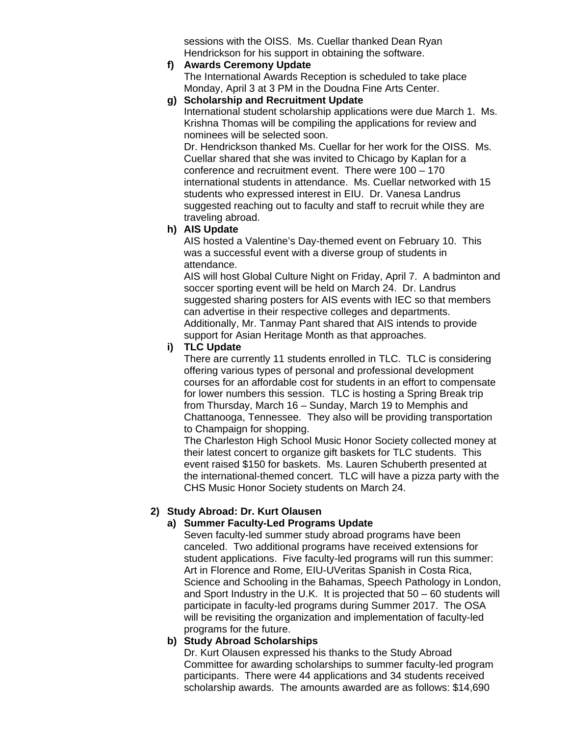sessions with the OISS. Ms. Cuellar thanked Dean Ryan Hendrickson for his support in obtaining the software.

- **f) Awards Ceremony Update** The International Awards Reception is scheduled to take place Monday, April 3 at 3 PM in the Doudna Fine Arts Center.
- **g) Scholarship and Recruitment Update**  International student scholarship applications were due March 1. Ms. Krishna Thomas will be compiling the applications for review and nominees will be selected soon.

Dr. Hendrickson thanked Ms. Cuellar for her work for the OISS. Ms. Cuellar shared that she was invited to Chicago by Kaplan for a conference and recruitment event. There were 100 – 170 international students in attendance. Ms. Cuellar networked with 15 students who expressed interest in EIU. Dr. Vanesa Landrus suggested reaching out to faculty and staff to recruit while they are traveling abroad.

## **h) AIS Update**

AIS hosted a Valentine's Day-themed event on February 10. This was a successful event with a diverse group of students in attendance.

AIS will host Global Culture Night on Friday, April 7. A badminton and soccer sporting event will be held on March 24. Dr. Landrus suggested sharing posters for AIS events with IEC so that members can advertise in their respective colleges and departments. Additionally, Mr. Tanmay Pant shared that AIS intends to provide support for Asian Heritage Month as that approaches.

## **i) TLC Update**

There are currently 11 students enrolled in TLC. TLC is considering offering various types of personal and professional development courses for an affordable cost for students in an effort to compensate for lower numbers this session. TLC is hosting a Spring Break trip from Thursday, March 16 – Sunday, March 19 to Memphis and Chattanooga, Tennessee. They also will be providing transportation to Champaign for shopping.

The Charleston High School Music Honor Society collected money at their latest concert to organize gift baskets for TLC students. This event raised \$150 for baskets. Ms. Lauren Schuberth presented at the international-themed concert. TLC will have a pizza party with the CHS Music Honor Society students on March 24.

# **2) Study Abroad: Dr. Kurt Olausen**

# **a) Summer Faculty-Led Programs Update**

Seven faculty-led summer study abroad programs have been canceled. Two additional programs have received extensions for student applications. Five faculty-led programs will run this summer: Art in Florence and Rome, EIU-UVeritas Spanish in Costa Rica, Science and Schooling in the Bahamas, Speech Pathology in London, and Sport Industry in the U.K. It is projected that 50 – 60 students will participate in faculty-led programs during Summer 2017. The OSA will be revisiting the organization and implementation of faculty-led programs for the future.

# **b) Study Abroad Scholarships**

Dr. Kurt Olausen expressed his thanks to the Study Abroad Committee for awarding scholarships to summer faculty-led program participants. There were 44 applications and 34 students received scholarship awards. The amounts awarded are as follows: \$14,690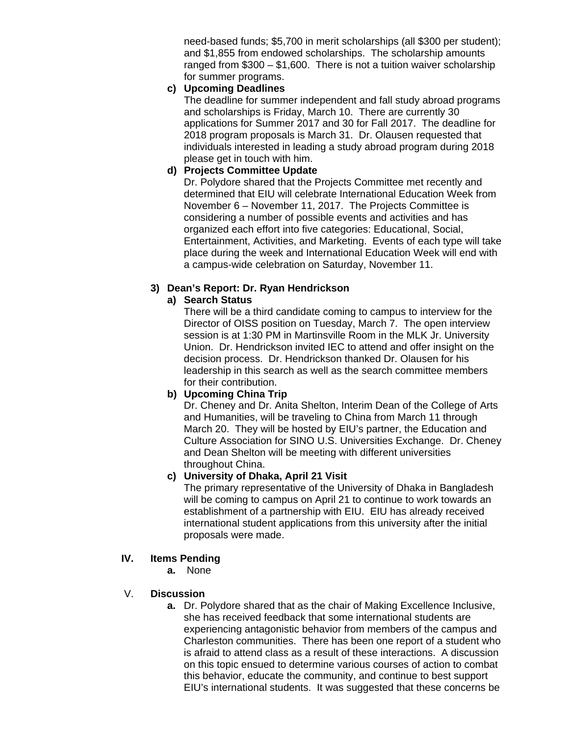need-based funds; \$5,700 in merit scholarships (all \$300 per student); and \$1,855 from endowed scholarships. The scholarship amounts ranged from \$300 – \$1,600. There is not a tuition waiver scholarship for summer programs.

## **c) Upcoming Deadlines**

The deadline for summer independent and fall study abroad programs and scholarships is Friday, March 10. There are currently 30 applications for Summer 2017 and 30 for Fall 2017. The deadline for 2018 program proposals is March 31. Dr. Olausen requested that individuals interested in leading a study abroad program during 2018 please get in touch with him.

## **d) Projects Committee Update**

Dr. Polydore shared that the Projects Committee met recently and determined that EIU will celebrate International Education Week from November 6 – November 11, 2017. The Projects Committee is considering a number of possible events and activities and has organized each effort into five categories: Educational, Social, Entertainment, Activities, and Marketing. Events of each type will take place during the week and International Education Week will end with a campus-wide celebration on Saturday, November 11.

## **3) Dean's Report: Dr. Ryan Hendrickson**

## **a) Search Status**

There will be a third candidate coming to campus to interview for the Director of OISS position on Tuesday, March 7. The open interview session is at 1:30 PM in Martinsville Room in the MLK Jr. University Union. Dr. Hendrickson invited IEC to attend and offer insight on the decision process. Dr. Hendrickson thanked Dr. Olausen for his leadership in this search as well as the search committee members for their contribution.

### **b) Upcoming China Trip**

Dr. Cheney and Dr. Anita Shelton, Interim Dean of the College of Arts and Humanities, will be traveling to China from March 11 through March 20. They will be hosted by EIU's partner, the Education and Culture Association for SINO U.S. Universities Exchange. Dr. Cheney and Dean Shelton will be meeting with different universities throughout China.

### **c) University of Dhaka, April 21 Visit**

The primary representative of the University of Dhaka in Bangladesh will be coming to campus on April 21 to continue to work towards an establishment of a partnership with EIU. EIU has already received international student applications from this university after the initial proposals were made.

## **IV. Items Pending**

**a.** None

### V. **Discussion**

**a.** Dr. Polydore shared that as the chair of Making Excellence Inclusive, she has received feedback that some international students are experiencing antagonistic behavior from members of the campus and Charleston communities. There has been one report of a student who is afraid to attend class as a result of these interactions. A discussion on this topic ensued to determine various courses of action to combat this behavior, educate the community, and continue to best support EIU's international students. It was suggested that these concerns be